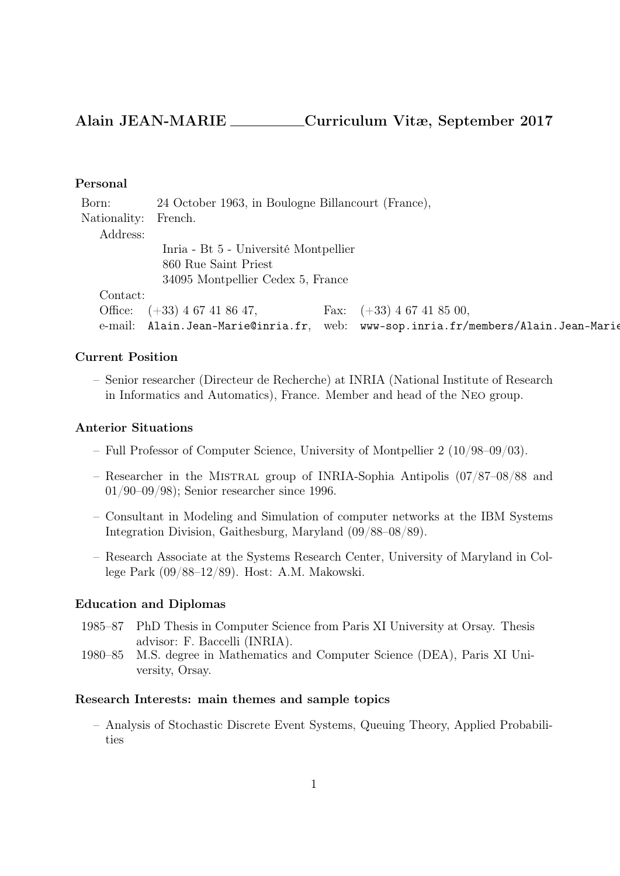# Alain JEAN-MARIE Curriculum Vitæ, September 2017

#### Personal

| Born:        | 24 October 1963, in Boulogne Billancourt (France),                                                 |  |                                                |
|--------------|----------------------------------------------------------------------------------------------------|--|------------------------------------------------|
| Nationality: | French.                                                                                            |  |                                                |
| Address:     |                                                                                                    |  |                                                |
|              | Inria - Bt 5 - Université Montpellier<br>860 Rue Saint Priest<br>34095 Montpellier Cedex 5, France |  |                                                |
| Contact:     |                                                                                                    |  |                                                |
|              | Office: $(+33)$ 4 67 41 86 47,                                                                     |  | Fax: $(+33)$ 4 67 41 85 00,                    |
| e-mail:      | Alain.Jean-Marie@inria.fr,                                                                         |  | web: www-sop.inria.fr/members/Alain.Jean-Marie |

### Current Position

– Senior researcher (Directeur de Recherche) at INRIA (National Institute of Research in Informatics and Automatics), France. Member and head of the Neo group.

# Anterior Situations

- Full Professor of Computer Science, University of Montpellier 2 (10/98–09/03).
- Researcher in the Mistral group of INRIA-Sophia Antipolis (07/87–08/88 and 01/90–09/98); Senior researcher since 1996.
- Consultant in Modeling and Simulation of computer networks at the IBM Systems Integration Division, Gaithesburg, Maryland (09/88–08/89).
- Research Associate at the Systems Research Center, University of Maryland in College Park (09/88–12/89). Host: A.M. Makowski.

#### Education and Diplomas

- 1985–87 PhD Thesis in Computer Science from Paris XI University at Orsay. Thesis advisor: F. Baccelli (INRIA).
- 1980–85 M.S. degree in Mathematics and Computer Science (DEA), Paris XI University, Orsay.

# Research Interests: main themes and sample topics

– Analysis of Stochastic Discrete Event Systems, Queuing Theory, Applied Probabilities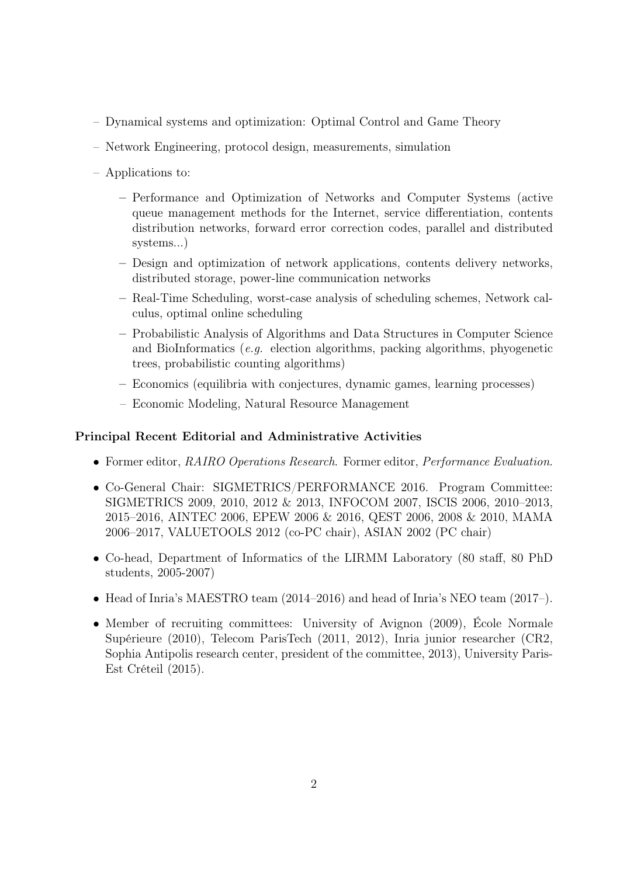- Dynamical systems and optimization: Optimal Control and Game Theory
- Network Engineering, protocol design, measurements, simulation
- Applications to:
	- Performance and Optimization of Networks and Computer Systems (active queue management methods for the Internet, service differentiation, contents distribution networks, forward error correction codes, parallel and distributed systems...)
	- Design and optimization of network applications, contents delivery networks, distributed storage, power-line communication networks
	- Real-Time Scheduling, worst-case analysis of scheduling schemes, Network calculus, optimal online scheduling
	- Probabilistic Analysis of Algorithms and Data Structures in Computer Science and BioInformatics (e.g. election algorithms, packing algorithms, phyogenetic trees, probabilistic counting algorithms)
	- Economics (equilibria with conjectures, dynamic games, learning processes)
	- Economic Modeling, Natural Resource Management

# Principal Recent Editorial and Administrative Activities

- Former editor, RAIRO Operations Research. Former editor, Performance Evaluation.
- Co-General Chair: SIGMETRICS/PERFORMANCE 2016. Program Committee: SIGMETRICS 2009, 2010, 2012 & 2013, INFOCOM 2007, ISCIS 2006, 2010–2013, 2015–2016, AINTEC 2006, EPEW 2006 & 2016, QEST 2006, 2008 & 2010, MAMA 2006–2017, VALUETOOLS 2012 (co-PC chair), ASIAN 2002 (PC chair)
- Co-head, Department of Informatics of the LIRMM Laboratory (80 staff, 80 PhD students, 2005-2007)
- Head of Inria's MAESTRO team (2014–2016) and head of Inria's NEO team (2017–).
- Member of recruiting committees: University of Avignon (2009), École Normale Supérieure (2010), Telecom ParisTech (2011, 2012), Inria junior researcher (CR2, Sophia Antipolis research center, president of the committee, 2013), University Paris-Est Créteil (2015).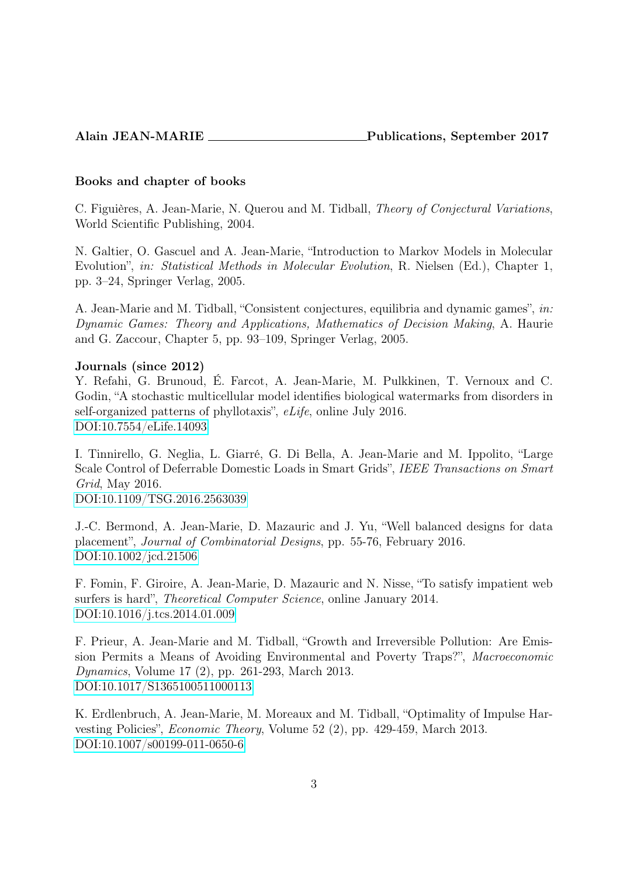# Alain JEAN-MARIE Publications, September 2017

#### Books and chapter of books

C. Figuières, A. Jean-Marie, N. Querou and M. Tidball, Theory of Conjectural Variations, World Scientific Publishing, 2004.

N. Galtier, O. Gascuel and A. Jean-Marie, "Introduction to Markov Models in Molecular Evolution", in: Statistical Methods in Molecular Evolution, R. Nielsen (Ed.), Chapter 1, pp. 3–24, Springer Verlag, 2005.

A. Jean-Marie and M. Tidball, "Consistent conjectures, equilibria and dynamic games", in: Dynamic Games: Theory and Applications, Mathematics of Decision Making, A. Haurie and G. Zaccour, Chapter 5, pp. 93–109, Springer Verlag, 2005.

#### Journals (since 2012)

Y. Refahi, G. Brunoud, É. Farcot, A. Jean-Marie, M. Pulkkinen, T. Vernoux and C. Godin, "A stochastic multicellular model identifies biological watermarks from disorders in self-organized patterns of phyllotaxis", eLife, online July 2016. [DOI:10.7554/eLife.14093](http://dx.doi.org/10.7554/eLife.14093)

I. Tinnirello, G. Neglia, L. Giarré, G. Di Bella, A. Jean-Marie and M. Ippolito, "Large Scale Control of Deferrable Domestic Loads in Smart Grids", IEEE Transactions on Smart Grid, May 2016. [DOI:10.1109/TSG.2016.2563039](http://dx.doi.org/10.1109/TSG.2016.2563039)

J.-C. Bermond, A. Jean-Marie, D. Mazauric and J. Yu, "Well balanced designs for data placement", Journal of Combinatorial Designs, pp. 55-76, February 2016. [DOI:10.1002/jcd.21506](http://dx.doi.org/10.1002/jcd.21506)

F. Fomin, F. Giroire, A. Jean-Marie, D. Mazauric and N. Nisse, "To satisfy impatient web surfers is hard", Theoretical Computer Science, online January 2014. [DOI:10.1016/j.tcs.2014.01.009](http://dx.doi.org/10.1016/j.tcs.2014.01.009)

F. Prieur, A. Jean-Marie and M. Tidball, "Growth and Irreversible Pollution: Are Emission Permits a Means of Avoiding Environmental and Poverty Traps?", Macroeconomic Dynamics, Volume 17 (2), pp. 261-293, March 2013. [DOI:10.1017/S1365100511000113](http://dx.doi.org/10.1017/S1365100511000113)

K. Erdlenbruch, A. Jean-Marie, M. Moreaux and M. Tidball, "Optimality of Impulse Harvesting Policies", Economic Theory, Volume 52 (2), pp. 429-459, March 2013. [DOI:10.1007/s00199-011-0650-6](http://dx.doi.org/10.1007/s00199-011-0650-6)